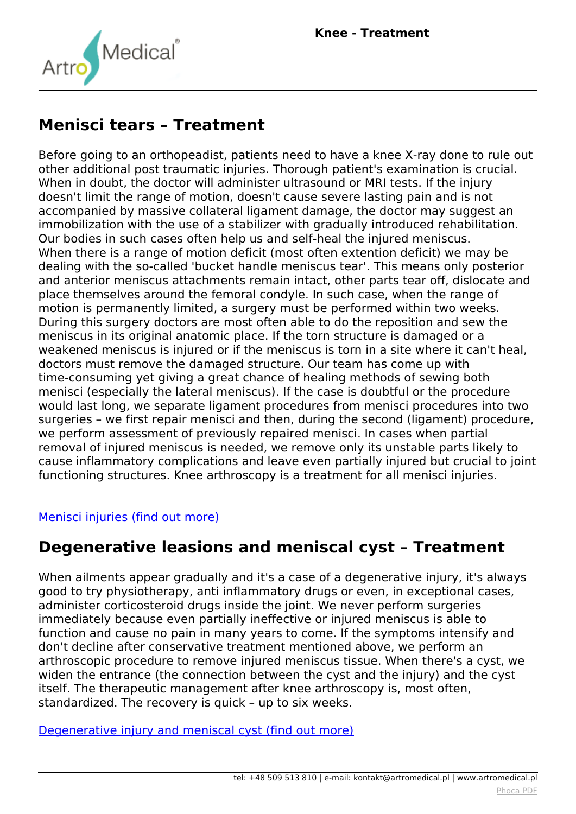

#### **Menisci tears – Treatment**

*Before going to an orthopeadist, patients need to have a knee X-ray done to rule out other additional post traumatic injuries. Thorough patient's examination is crucial. When in doubt, the doctor will administer ultrasound or MRI tests. If the injury doesn't limit the range of motion, doesn't cause severe lasting pain and is not accompanied by massive collateral ligament damage, the doctor may suggest an immobilization with the use of a stabilizer with gradually introduced rehabilitation. Our bodies in such cases often help us and self-heal the injured meniscus. When there is a range of motion deficit (most often extention deficit) we may be dealing with the so-called 'bucket handle meniscus tear'. This means only posterior and anterior meniscus attachments remain intact, other parts tear off, dislocate and place themselves around the femoral condyle. In such case, when the range of motion is permanently limited, a surgery must be performed within two weeks. During this surgery doctors are most often able to do the reposition and sew the meniscus in its original anatomic place. If the torn structure is damaged or a weakened meniscus is injured or if the meniscus is torn in a site where it can't heal, doctors must remove the damaged structure. Our team has come up with time-consuming yet giving a great chance of healing methods of sewing both menisci (especially the lateral meniscus). If the case is doubtful or the procedure would last long, we separate ligament procedures from menisci procedures into two surgeries – we first repair menisci and then, during the second (ligament) procedure, we perform assessment of previously repaired menisci. In cases when partial removal of injured meniscus is needed, we remove only its unstable parts likely to cause inflammatory complications and leave even partially injured but crucial to joint functioning structures. Knee arthroscopy is a treatment for all menisci injuries.*

#### *[Menisci injuries \(find out more\)](index.php?option=com_content&view=article&id=137:knee-injuries-and-ilnesses&catid=9:articles&Itemid=349#menisci_tears)*

#### **Degenerative leasions and meniscal cyst – Treatment**

*When ailments appear gradually and it's a case of a degenerative injury, it's always good to try physiotherapy, anti inflammatory drugs or even, in exceptional cases, administer corticosteroid drugs inside the joint. We never perform surgeries immediately because even partially ineffective or injured meniscus is able to function and cause no pain in many years to come. If the symptoms intensify and don't decline after conservative treatment mentioned above, we perform an arthroscopic procedure to remove injured meniscus tissue. When there's a cyst, we widen the entrance (the connection between the cyst and the injury) and the cyst itself. The therapeutic management after knee arthroscopy is, most often, standardized. The recovery is quick – up to six weeks.*

*[Degenerative injury and meniscal cyst \(find out more\)](index.php?option=com_content&view=article&id=137:knee-injuries-and-ilnesses&catid=9:articles&Itemid=349#meniscal_cyst)*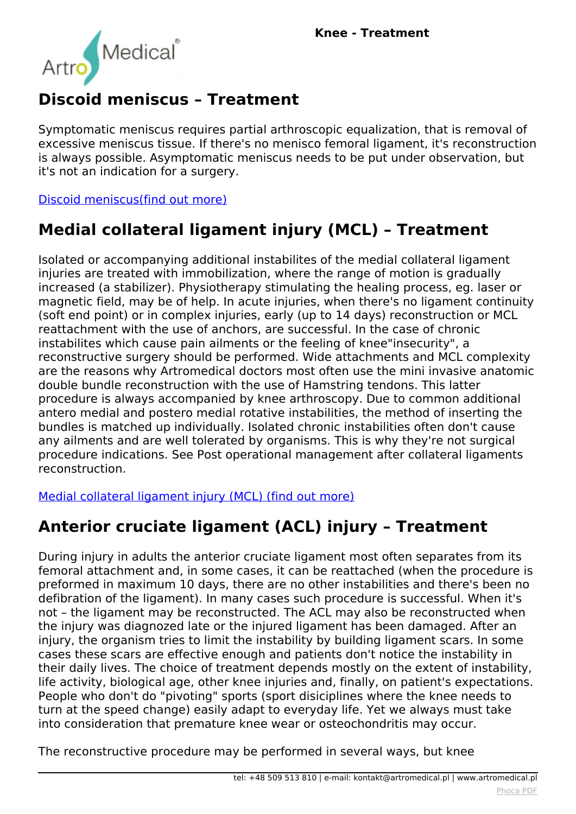

# **Discoid meniscus – Treatment**

*Symptomatic meniscus requires partial arthroscopic equalization, that is removal of excessive meniscus tissue. If there's no menisco femoral ligament, it's reconstruction is always possible. Asymptomatic meniscus needs to be put under observation, but it's not an indication for a surgery.*

*[Discoid meniscus\(find out more\)](index.php?option=com_content&view=article&id=137:knee-injuries-and-ilnesses&catid=9:articles&Itemid=349#discoid_meniscus)*

## **Medial collateral ligament injury (MCL) – Treatment**

*Isolated or accompanying additional instabilites of the medial collateral ligament injuries are treated with immobilization, where the range of motion is gradually increased (a stabilizer). Physiotherapy stimulating the healing process, eg. laser or magnetic field, may be of help. In acute injuries, when there's no ligament continuity (soft end point) or in complex injuries, early (up to 14 days) reconstruction or MCL reattachment with the use of anchors, are successful. In the case of chronic instabilites which cause pain ailments or the feeling of knee"insecurity", a reconstructive surgery should be performed. Wide attachments and MCL complexity are the reasons why Artromedical doctors most often use the mini invasive anatomic double bundle reconstruction with the use of Hamstring tendons. This latter procedure is always accompanied by knee arthroscopy. Due to common additional antero medial and postero medial rotative instabilities, the method of inserting the bundles is matched up individually. Isolated chronic instabilities often don't cause any ailments and are well tolerated by organisms. This is why they're not surgical procedure indications. See Post operational management after collateral ligaments reconstruction.*

*[Medial collateral ligament injury \(MCL\) \(find out more\)](index.php?option=com_content&view=article&id=137:knee-injuries-and-ilnesses&catid=9:articles&Itemid=349#mcl)*

## **Anterior cruciate ligament (ACL) injury – Treatment**

*During injury in adults the anterior cruciate ligament most often separates from its femoral attachment and, in some cases, it can be reattached (when the procedure is preformed in maximum 10 days, there are no other instabilities and there's been no defibration of the ligament). In many cases such procedure is successful. When it's not – the ligament may be reconstructed. The ACL may also be reconstructed when the injury was diagnozed late or the injured ligament has been damaged. After an injury, the organism tries to limit the instability by building ligament scars. In some cases these scars are effective enough and patients don't notice the instability in their daily lives. The choice of treatment depends mostly on the extent of instability, life activity, biological age, other knee injuries and, finally, on patient's expectations. People who don't do "pivoting" sports (sport disiciplines where the knee needs to turn at the speed change) easily adapt to everyday life. Yet we always must take into consideration that premature knee wear or osteochondritis may occur.*

*The reconstructive procedure may be performed in several ways, but knee*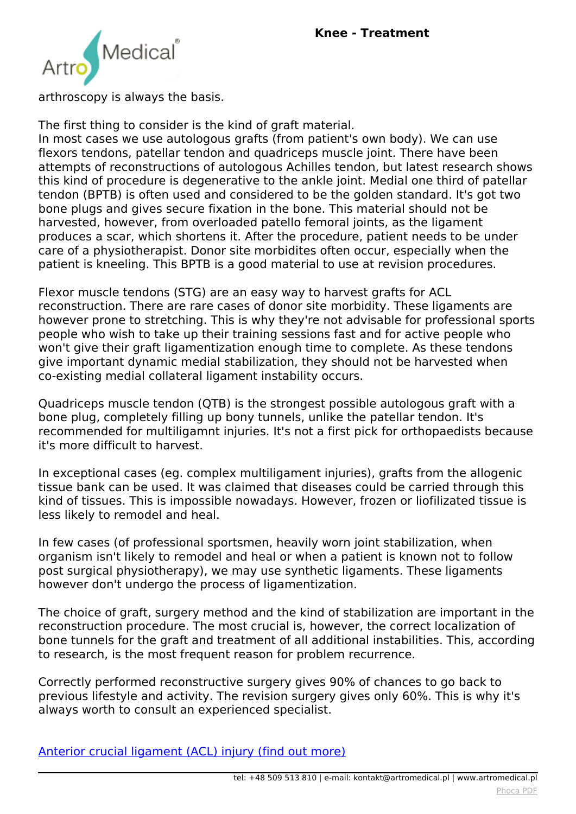

*arthroscopy is always the basis.*

*The first thing to consider is the kind of graft material.*

*In most cases we use autologous grafts (from patient's own body). We can use flexors tendons, patellar tendon and quadriceps muscle joint. There have been attempts of reconstructions of autologous Achilles tendon, but latest research shows this kind of procedure is degenerative to the ankle joint. Medial one third of patellar tendon (BPTB) is often used and considered to be the golden standard. It's got two bone plugs and gives secure fixation in the bone. This material should not be harvested, however, from overloaded patello femoral joints, as the ligament produces a scar, which shortens it. After the procedure, patient needs to be under care of a physiotherapist. Donor site morbidites often occur, especially when the patient is kneeling. This BPTB is a good material to use at revision procedures.*

*Flexor muscle tendons (STG) are an easy way to harvest grafts for ACL reconstruction. There are rare cases of donor site morbidity. These ligaments are however prone to stretching. This is why they're not advisable for professional sports people who wish to take up their training sessions fast and for active people who won't give their graft ligamentization enough time to complete. As these tendons give important dynamic medial stabilization, they should not be harvested when co-existing medial collateral ligament instability occurs.*

*Quadriceps muscle tendon (QTB) is the strongest possible autologous graft with a bone plug, completely filling up bony tunnels, unlike the patellar tendon. It's recommended for multiligamnt injuries. It's not a first pick for orthopaedists because it's more difficult to harvest.*

*In exceptional cases (eg. complex multiligament injuries), grafts from the allogenic tissue bank can be used. It was claimed that diseases could be carried through this kind of tissues. This is impossible nowadays. However, frozen or liofilizated tissue is less likely to remodel and heal.*

*In few cases (of professional sportsmen, heavily worn joint stabilization, when organism isn't likely to remodel and heal or when a patient is known not to follow post surgical physiotherapy), we may use synthetic ligaments. These ligaments however don't undergo the process of ligamentization.*

*The choice of graft, surgery method and the kind of stabilization are important in the reconstruction procedure. The most crucial is, however, the correct localization of bone tunnels for the graft and treatment of all additional instabilities. This, according to research, is the most frequent reason for problem recurrence.*

*Correctly performed reconstructive surgery gives 90% of chances to go back to previous lifestyle and activity. The revision surgery gives only 60%. This is why it's always worth to consult an experienced specialist.*

*[Anterior crucial ligament \(ACL\) injury \(find out more\)](index.php?option=com_content&view=article&id=137:knee-injuries-and-ilnesses&catid=9:articles&Itemid=349#acl)*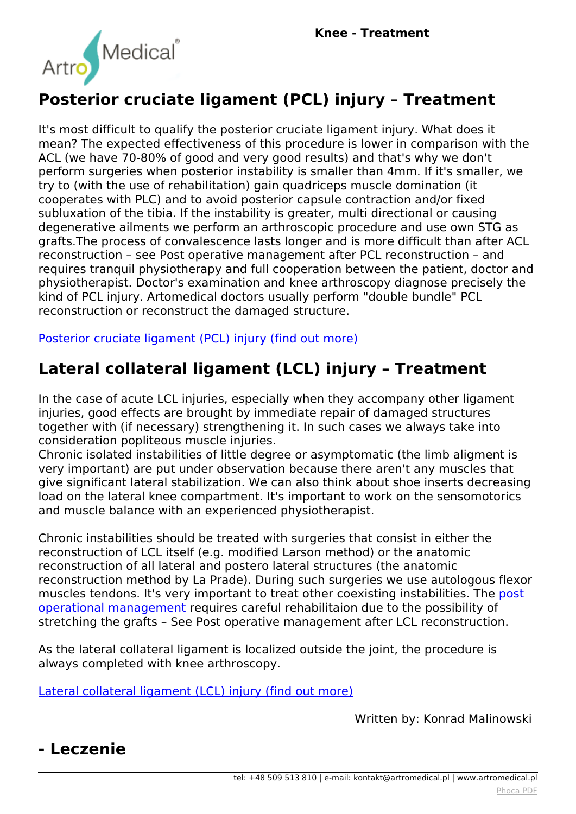

#### **Posterior cruciate ligament (PCL) injury – Treatment**

*It's most difficult to qualify the posterior cruciate ligament injury. What does it mean? The expected effectiveness of this procedure is lower in comparison with the ACL (we have 70-80% of good and very good results) and that's why we don't perform surgeries when posterior instability is smaller than 4mm. If it's smaller, we try to (with the use of rehabilitation) gain quadriceps muscle domination (it cooperates with PLC) and to avoid posterior capsule contraction and/or fixed subluxation of the tibia. If the instability is greater, multi directional or causing degenerative ailments we perform an arthroscopic procedure and use own STG as grafts.The process of convalescence lasts longer and is more difficult than after ACL reconstruction – see Post operative management after PCL reconstruction – and requires tranquil physiotherapy and full cooperation between the patient, doctor and physiotherapist. Doctor's examination and knee arthroscopy diagnose precisely the kind of PCL injury. Artomedical doctors usually perform "double bundle" PCL reconstruction or reconstruct the damaged structure.*

*[Posterior cruciate ligament \(PCL\) injury \(find out more\)](index.php?option=com_content&view=article&id=137:knee-injuries-and-ilnesses&catid=9:articles&Itemid=349#pcl)*

## **Lateral collateral ligament (LCL) injury – Treatment**

*In the case of acute LCL injuries, especially when they accompany other ligament injuries, good effects are brought by immediate repair of damaged structures together with (if necessary) strengthening it. In such cases we always take into consideration popliteous muscle injuries.*

*Chronic isolated instabilities of little degree or asymptomatic (the limb aligment is very important) are put under observation because there aren't any muscles that give significant lateral stabilization. We can also think about shoe inserts decreasing load on the lateral knee compartment. It's important to work on the sensomotorics and muscle balance with an experienced physiotherapist.*

*Chronic instabilities should be treated with surgeries that consist in either the reconstruction of LCL itself (e.g. modified Larson method) or the anatomic reconstruction of all lateral and postero lateral structures (the anatomic reconstruction method by La Prade). During such surgeries we use autologous flexor muscles tendons. It's very important to treat other coexisting instabilities. The [post](index.php?option=com_content&view=article&id=96:post-operative-management&catid=9:articles&Itemid=309) [operational management](index.php?option=com_content&view=article&id=96:post-operative-management&catid=9:articles&Itemid=309) requires careful rehabilitaion due to the possibility of stretching the grafts – See Post operative management after LCL reconstruction.*

*As the lateral collateral ligament is localized outside the joint, the procedure is always completed with knee arthroscopy.*

*[Lateral collateral ligament \(LCL\) injury \(find out more\)](index.php?option=com_content&view=article&id=137:knee-injuries-and-ilnesses&catid=9:articles&Itemid=349#lcl)*

*Written by: Konrad Malinowski*

#### **- Leczenie**